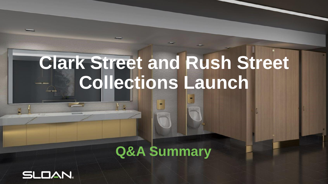# **Clark Street and Rush Street Collections Launch**

## **Q&A Summary**

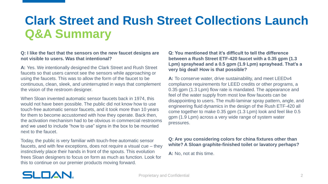#### **Q: I like the fact that the sensors on the new faucet designs are not visible to users. Was that intentional?**

**A:** Yes. We intentionally designed the Clark Street and Rush Street faucets so that users cannot see the sensors while approaching or using the faucets. This was to allow the form of the faucet to be continuous, clean, sleek, and uninterrupted in ways that complement the vision of the restroom designer.

When Sloan invented automatic sensor faucets back in 1974, this would not have been possible. The public did not know how to use touch-free automatic sensor faucets, and it took more than 10 years for them to become accustomed with how they operate. Back then, the activation mechanism had to be obvious in commercial restrooms and we used to include "how to use" signs in the box to be mounted next to the faucet.

Today, the public is very familiar with touch-free automatic sensor faucets, and with few exceptions, does not require a visual cue – they instinctively place their hands in front of the spouts. This evolution frees Sloan designers to focus on form as much as function. Look for this to continue on our premier products moving forward.

**Q: You mentioned that it's difficult to tell the difference between a Rush Street ETF-420 faucet with a 0.35 gpm (1.3 Lpm) sprayhead and a 0.5 gpm (1.9 Lpm) sprayhead. That's a very big deal! How is that possible?**

**A:** To conserve water, drive sustainability, and meet LEEDv4 compliance requirements for LEED credits or other programs, a 0.35 gpm (1.3 Lpm) flow rate is mandated. The appearance and feel of the water supply from most low flow faucets can be disappointing to users. The multi-laminar spray pattern, angle, and engineering fluid dynamics in the design of the Rush ETF-420 all come together to make 0.35 gpm (1.3 Lpm) look and feel like 0.5 gpm (1.9 Lpm) across a very wide range of system water pressures.

#### **Q: Are you considering colors for china fixtures other than white? A Sloan graphite-finished toilet or lavatory perhaps?**

**A:** No, not at this time.

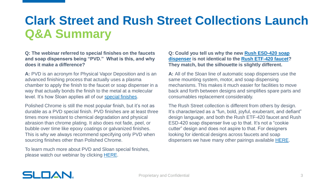**Q: The webinar referred to special finishes on the faucets and soap dispensers being "PVD." What is this, and why does it make a difference?**

**A:** PVD is an acronym for Physical Vapor Deposition and is an advanced finishing process that actually uses a plasma chamber to apply the finish to the faucet or soap dispenser in a way that actually bonds the finish to the metal at a molecular level. It's how Sloan applies all of our [special finishes.](https://www.sloan.com/design/innovations/innovations-design/special-finishes)

Polished Chrome is still the most popular finish, but it's not as durable as a PVD special finish. PVD finishes are at least three times more resistant to chemical degradation and physical abrasion than chrome plating. It also does not fade, peel, or bubble over time like epoxy coatings or galvanized finishes. This is why we always recommend specifying only PVD when sourcing finishes other than Polished Chrome.

To learn much more about PVD and Sloan special finishes, please watch our webinar by clicking [HERE.](https://www.sloan.com/resources/education/webinars/sloan-special-finishes-overview)

#### **[Q: Could you tell us why the new Rush ESD-420 soap](https://www.sloan.com/commercial-bathroom-products/soap-dispensers/sloan/esd-420)  dispenser is not identical to the [Rush ETF-420 faucet](https://www.sloan.com/commercial-bathroom-products/faucets/optima/etf-420)? They match, but the silhouette is slightly different.**

**A:** All of the Sloan line of automatic soap dispensers use the same mounting system, motor, and soap dispensing mechanisms. This makes it much easier for facilities to move back and forth between designs and simplifies spare parts and consumables replacement considerably.

The Rush Street collection is different from others by design. It's characterized as a "fun, bold, joyful, exuberant, and defiant" design language, and both the Rush ETF-420 faucet and Rush ESD-420 soap dispenser live up to that. It's not a "cookie cutter" design and does not aspire to that. For designers looking for identical designs across faucets and soap dispensers we have many other pairings available [HERE.](https://www.sloan.com/sites/default/files/2020-12/SLO1175-Faucet-Soap-FL-Brochure-V11.pdf)

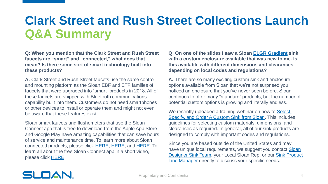**Q: When you mention that the Clark Street and Rush Street faucets are "smart" and "connected," what does that mean? Is there some sort of smart technology built into these products?**

**A:** Clark Street and Rush Street faucets use the same control and mounting platform as the Sloan EBF and ETF families of faucets that were upgraded into "smart" products in 2018. All of these faucets are shipped with Bluetooth communications capability built into them. Customers do not need smartphones or other devices to install or operate them and might not even be aware that these features exist.

Sloan smart faucets and flushometers that use the Sloan Connect app that is free to download from the Apple App Store and Google Play have amazing capabilities that can save hours of service and maintenance time. To learn more about Sloan connected products, please click [HERE,](https://www.sloan.com/design/connected-products) [HERE](https://www.sloan.com/resources/education/webinars/sloan-wireless-product-technologies-overview-and-updates), and [HERE](https://www.sloan.com/blog/7-ways-sloan-s-connected-products-make-restroom-management-easier). To learn all about the free Sloan Connect app in a short video, please click [HERE](https://www.youtube.com/watch?v=UGwGLC8rGtk).

**Q: On one of the slides I saw a Sloan [ELGR Gradient](https://www.sloan.com/commercial-bathroom-products/sinks/sloanstone#!gradient) sink with a custom enclosure available that was new to me. Is this available with different dimensions and clearances depending on local codes and regulations?**

**A:** There are so many exciting custom sink and enclosure options available from Sloan that we're not surprised you noticed an enclosure that you've never seen before. Sloan continues to offer many "standard" products, but the number of potential custom options is growing and literally endless.

We recently uploaded a training webinar on how to Select, [Specify, and Order A Custom Sink from Sloan. This include](https://www.sloan.com/resources/education/webinars/how-select-specify-and-order-custom-sink-sloan)s guidelines for selecting custom materials, dimensions, and clearances as required. In general, all of our sink products are designed to comply with important codes and regulations.

Since you are based outside of the United States and may have unique local requirements, we suggest you contact Sloan [Designer Sink Team, your Local Sloan Rep, or our Sink Produ](mailto:designersinks@sloan.com)[ct](mailto:iris.liang@sloan.com)  Line Manager directly to discuss your specific needs.

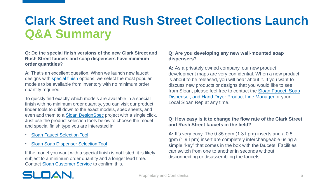#### **Q: Do the special finish versions of the new Clark Street and Rush Street faucets and soap dispensers have minimum order quantities?**

**A:** That's an excellent question. When we launch new faucet designs with [special finish](https://www.sloan.com/design/innovations/innovations-design/special-finishes) options, we select the most popular models to be available from inventory with no minimum order quantity required.

To quickly find exactly which models are available in a special finish with no minimum order quantity, you can visit our product finder tools to drill down to the exact models, spec sheets, and even add them to a [Sloan DesignSpec](https://www.sloan.com/resources/product-resources/designspec) project with a single click. Just use the product selection tools below to choose the model and special finish type you are interested in.

- **[Sloan Faucet Selection Tool](https://www.sloan.com/commercial-bathroom-products/faucets/browse)**
- [Sloan Soap Dispenser Selection Tool](https://www.sloan.com/commercial-bathroom-products/soap-dispensers/browse)

If the model you want with a special finish is not listed, it is likely subject to a minimum order quantity and a longer lead time. Contact [Sloan Customer Service](mailto:customerservice@sloan.com) to confirm this.

#### **Q: Are you developing any new wall-mounted soap dispensers?**

A: As a privately owned company, our new product development maps are very confidential. When a new product is about to be released, you will hear about it. If you want to discuss new products or designs that you would like to see [from Sloan, please feel free to contact the Sloan Faucet, Soap](mailto:morgan.butts@sloan.com) Dispenser, and Hand Dryer Product Line Manager or your Local Sloan Rep at any time.

#### **Q: How easy is it to change the flow rate of the Clark Street and Rush Street faucets in the field?**

**A:** It's very easy. The 0.35 gpm (1.3 Lpm) inserts and a 0.5 gpm (1.9 Lpm) insert are completely interchangeable using a simple "key" that comes in the box with the faucets. Facilities can switch from one to another in seconds without disconnecting or disassembling the faucets.

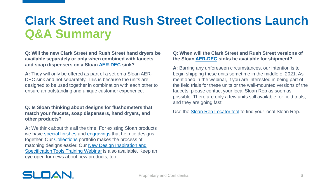**Q: Will the new Clark Street and Rush Street hand dryers be available separately or only when combined with faucets and soap dispensers on a Sloan [AER-DEC](https://www.sloan.com/commercial-bathroom-products/sinks/aer-dec) sink?**

**A:** They will only be offered as part of a set on a Sloan AER-DEC sink and not separately. This is because the units are designed to be used together in combination with each other to ensure an outstanding and unique customer experience.

#### **Q: Is Sloan thinking about designs for flushometers that match your faucets, soap dispensers, hand dryers, and other products?**

**A:** We think about this all the time. For existing Sloan products we have [special finishes](https://www.sloan.com/design/innovations/innovations-design/special-finishes) and [engravings](https://www.sloan.com/design/innovations/innovations-design/engravings) that help tie designs together. Our [Collections](https://www.sloan.com/design/inspiration/collections) portfolio makes the process of [matching designs easier. Our New Design Inspiration and](https://www.sloan.com/resources/education/webinars/introduction-sloan-s-new-design-inspiration-and-specification-tools)  Specification Tools Training Webinar is also available. Keep an eye open for news about new products, too.

#### **Q: When will the Clark Street and Rush Street versions of the Sloan [AER-DEC](https://www.sloan.com/commercial-bathroom-products/sinks/aer-dec) sinks be available for shipment?**

**A:** Barring any unforeseen circumstances, our intention is to begin shipping these units sometime in the middle of 2021. As mentioned in the webinar, if you are interested in being part of the field trials for these units or the wall-mounted versions of the faucets, please contact your local Sloan Rep as soon as possible. There are only a few units still available for field trials, and they are going fast.

Use the **Sloan Rep Locator tool** to find your local Sloan Rep.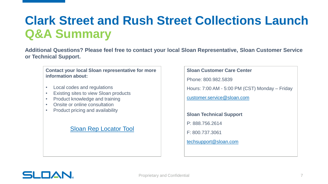**Additional Questions? Please feel free to contact your local Sloan Representative, Sloan Customer Service or Technical Support.**

### **Contact your local Sloan representative for more information about:** • Local codes and regulations • Existing sites to view Sloan products • Product knowledge and training • Onsite or online consultation • Product pricing and availability [Sloan Rep Locator Tool](https://www.sloan.com/company/support/where-to-buy)

### **Sloan Customer Care Center** Phone: 800.982.5839 Hours: 7:00 AM - 5:00 PM (CST) Monday – Friday [customer.service@sloan.com](mailto:customer.service@sloan.com) **Sloan Technical Support** P: 888.756.2614 F: 800.737.3061 [techsupport@sloan.com](mailto:techsupport@sloan.com)